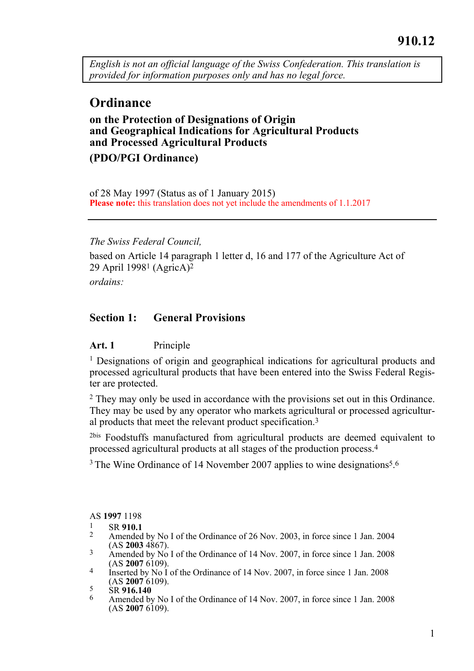*English is not an official language of the Swiss Confederation. This translation is provided for information purposes only and has no legal force.* 

# **Ordinance**

### **on the Protection of Designations of Origin and Geographical Indications for Agricultural Products and Processed Agricultural Products**

**(PDO/PGI Ordinance)** 

of 28 May 1997 (Status as of 1 January 2015) Please note: this translation does not yet include the amendments of 1.1.2017

*The Swiss Federal Council,* 

based on Article 14 paragraph 1 letter d, 16 and 177 of the Agriculture Act of 29 April 19981 (AgricA)2

*ordains:* 

### **Section 1: General Provisions**

#### Art. 1 Principle

1 Designations of origin and geographical indications for agricultural products and processed agricultural products that have been entered into the Swiss Federal Register are protected.

2 They may only be used in accordance with the provisions set out in this Ordinance. They may be used by any operator who markets agricultural or processed agricultural products that meet the relevant product specification.3

<sup>2bis</sup> Foodstuffs manufactured from agricultural products are deemed equivalent to processed agricultural products at all stages of the production process.4

<sup>3</sup> The Wine Ordinance of 14 November 2007 applies to wine designations<sup>5</sup>.<sup>6</sup>

AS **1997** 1198

- 
- 1 SR 910.1<br><sup>2</sup> Amended by No I of the Ordinance of 26 Nov. 2003, in force since 1 Jan. 2004<br>(AS **2003** 4867).
- <sup>3</sup> Amended by No I of the Ordinance of 14 Nov. 2007, in force since 1 Jan. 2008<br>(AS **2007** 6109).
- Inserted by No I of the Ordinance of 14 Nov. 2007, in force since 1 Jan. 2008<br>(AS **2007** 6109).
- 
- <sup>5</sup><br><sup>5</sup> SR **916.140**<br><sup>6</sup> Amended by No I of the Ordinance of 14 Nov. 2007, in force since 1 Jan. 2008 (AS **2007** 6109).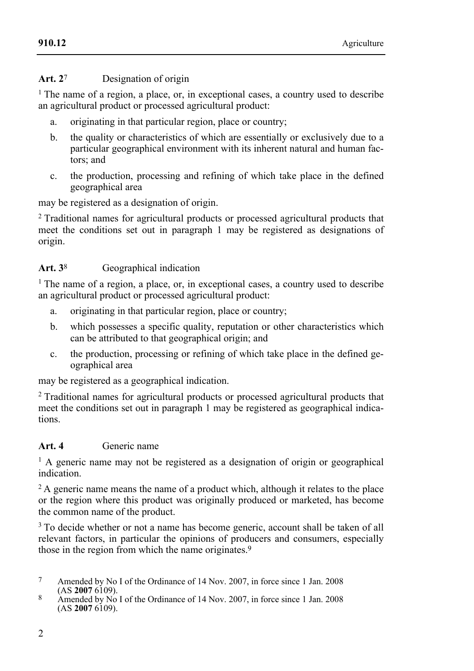#### **Art. 2**7 Designation of origin

<sup>1</sup> The name of a region, a place, or, in exceptional cases, a country used to describe an agricultural product or processed agricultural product:

- a. originating in that particular region, place or country;
- b. the quality or characteristics of which are essentially or exclusively due to a particular geographical environment with its inherent natural and human factors; and
- c. the production, processing and refining of which take place in the defined geographical area

may be registered as a designation of origin.

<sup>2</sup> Traditional names for agricultural products or processed agricultural products that meet the conditions set out in paragraph 1 may be registered as designations of origin.

### Art. 3<sup>8</sup> **Geographical indication**

<sup>1</sup> The name of a region, a place, or, in exceptional cases, a country used to describe an agricultural product or processed agricultural product:

- a. originating in that particular region, place or country;
- b. which possesses a specific quality, reputation or other characteristics which can be attributed to that geographical origin; and
- c. the production, processing or refining of which take place in the defined geographical area

may be registered as a geographical indication.

2 Traditional names for agricultural products or processed agricultural products that meet the conditions set out in paragraph 1 may be registered as geographical indications.

### **Art. 4** Generic name

<sup>1</sup> A generic name may not be registered as a designation of origin or geographical indication.

<sup>2</sup> A generic name means the name of a product which, although it relates to the place or the region where this product was originally produced or marketed, has become the common name of the product.

<sup>3</sup> To decide whether or not a name has become generic, account shall be taken of all relevant factors, in particular the opinions of producers and consumers, especially those in the region from which the name originates.9

- <sup>7</sup> Amended by No I of the Ordinance of 14 Nov. 2007, in force since 1 Jan. 2008 (AS **2007** 6109).
- (AS **2007** 6109). 8 Amended by No I of the Ordinance of 14 Nov. 2007, in force since 1 Jan. 2008 (AS **2007** 6109).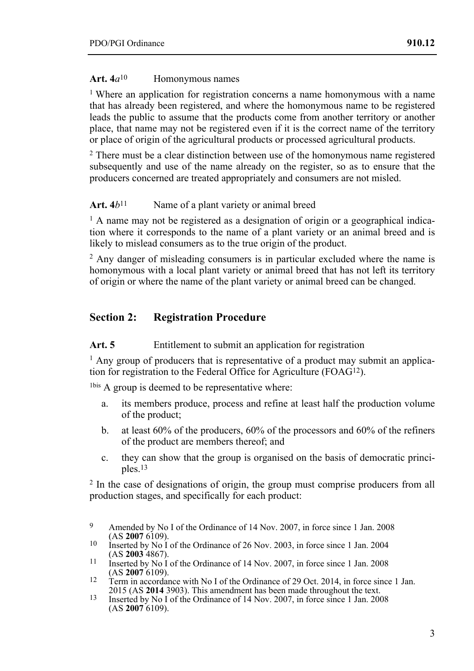#### **Art. 4***a*10Homonymous names

1 Where an application for registration concerns a name homonymous with a name that has already been registered, and where the homonymous name to be registered leads the public to assume that the products come from another territory or another place, that name may not be registered even if it is the correct name of the territory or place of origin of the agricultural products or processed agricultural products.

<sup>2</sup> There must be a clear distinction between use of the homonymous name registered subsequently and use of the name already on the register, so as to ensure that the producers concerned are treated appropriately and consumers are not misled.

#### Art.  $4b^{11}$  Name of a plant variety or animal breed

 $<sup>1</sup>$  A name may not be registered as a designation of origin or a geographical indica-</sup> tion where it corresponds to the name of a plant variety or an animal breed and is likely to mislead consumers as to the true origin of the product.

 $2 \text{ Any danger of misleading consumers is in particular excluded where the name is }$ homonymous with a local plant variety or animal breed that has not left its territory of origin or where the name of the plant variety or animal breed can be changed.

# **Section 2: Registration Procedure**

#### Art. 5 Entitlement to submit an application for registration

1 Any group of producers that is representative of a product may submit an application for registration to the Federal Office for Agriculture (FOAG12).

1bis A group is deemed to be representative where:

- a. its members produce, process and refine at least half the production volume of the product;
- b. at least 60% of the producers, 60% of the processors and 60% of the refiners of the product are members thereof; and
- c. they can show that the group is organised on the basis of democratic principles.13

<sup>2</sup> In the case of designations of origin, the group must comprise producers from all production stages, and specifically for each product:

 $\alpha$ Amended by No I of the Ordinance of 14 Nov. 2007, in force since 1 Jan. 2008 (AS 2007 6109).

<sup>&</sup>lt;sup>10</sup> Inserted by No I of the Ordinance of 26 Nov. 2003, in force since 1 Jan. 2004<br>(AS **2003** 4867).

<sup>11</sup> Inserted by No I of the Ordinance of 14 Nov. 2007, in force since 1 Jan. 2008<br>(AS **2007** 6109).

<sup>&</sup>lt;sup>12</sup> Term in accordance with No I of the Ordinance of 29 Oct. 2014, in force since 1 Jan.<br>2015 (AS **2014** 3903). This amendment has been made throughout the text.

<sup>&</sup>lt;sup>23</sup> Inserted by No I of the Ordinance of 14 Nov. 2007, in force since 1 Jan. 2008 (AS **2007** 6109).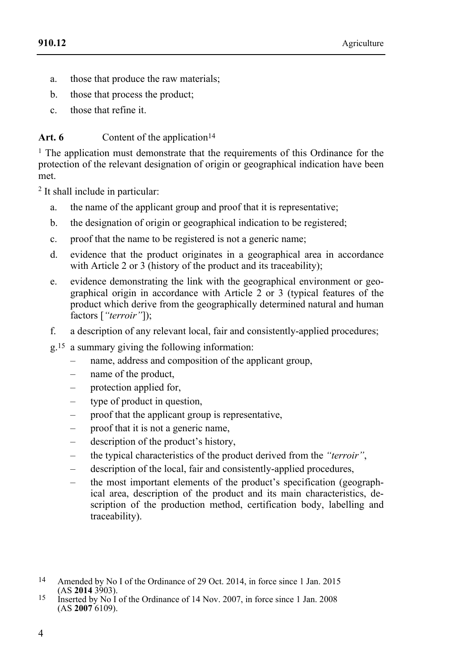- a. those that produce the raw materials;
- b. those that process the product;
- c. those that refine it.

### Art. 6 Content of the application<sup>14</sup>

<sup>1</sup> The application must demonstrate that the requirements of this Ordinance for the protection of the relevant designation of origin or geographical indication have been met.

2 It shall include in particular:

- a. the name of the applicant group and proof that it is representative;
- b. the designation of origin or geographical indication to be registered;
- c. proof that the name to be registered is not a generic name;
- d. evidence that the product originates in a geographical area in accordance with Article 2 or 3 (history of the product and its traceability);
- e. evidence demonstrating the link with the geographical environment or geographical origin in accordance with Article 2 or 3 (typical features of the product which derive from the geographically determined natural and human factors [*"terroir"*]);
- f. a description of any relevant local, fair and consistently-applied procedures;
- g.15 a summary giving the following information:
	- name, address and composition of the applicant group,
	- name of the product,
	- protection applied for,
	- type of product in question,
	- proof that the applicant group is representative,
	- proof that it is not a generic name,
	- description of the product's history,
	- the typical characteristics of the product derived from the *"terroir"*,
	- description of the local, fair and consistently-applied procedures,
	- the most important elements of the product's specification (geographical area, description of the product and its main characteristics, description of the production method, certification body, labelling and traceability).
- <sup>14</sup> Amended by No I of the Ordinance of 29 Oct. 2014, in force since 1 Jan. 2015<br>(AS **2014** 3903).
- (AS **2014** 3903). 15 Inserted by No I of the Ordinance of 14 Nov. 2007, in force since 1 Jan. 2008 (AS **2007** 6109).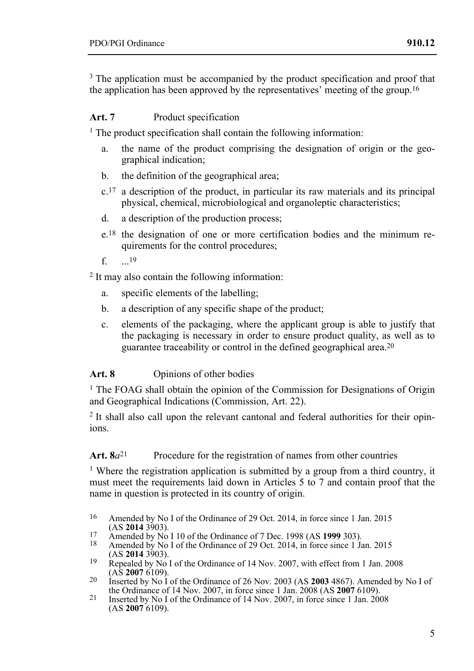<sup>3</sup> The application must be accompanied by the product specification and proof that the application has been approved by the representatives' meeting of the group.<sup>16</sup>

#### Art. 7 **Product specification**

<sup>1</sup> The product specification shall contain the following information:

- a. the name of the product comprising the designation of origin or the geographical indication;
- b. the definition of the geographical area;
- $c<sup>17</sup>$  a description of the product, in particular its raw materials and its principal physical, chemical, microbiological and organoleptic characteristics;
- d. a description of the production process;
- e.18 the designation of one or more certification bodies and the minimum requirements for the control procedures;
- f.  $19$

2 It may also contain the following information:

- a. specific elements of the labelling;
- b. a description of any specific shape of the product;
- c. elements of the packaging, where the applicant group is able to justify that the packaging is necessary in order to ensure product quality, as well as to guarantee traceability or control in the defined geographical area.20

### Art. 8 Opinions of other bodies

<sup>1</sup> The FOAG shall obtain the opinion of the Commission for Designations of Origin and Geographical Indications (Commission, Art. 22).

<sup>2</sup> It shall also call upon the relevant cantonal and federal authorities for their opinions.

### Art. 8*a*<sup>21</sup> Procedure for the registration of names from other countries

<sup>1</sup> Where the registration application is submitted by a group from a third country, it must meet the requirements laid down in Articles 5 to 7 and contain proof that the name in question is protected in its country of origin.

- 16 Amended by No I of the Ordinance of 29 Oct. 2014, in force since 1 Jan. 2015 (AS 2014 3903).
- 
- <sup>17</sup> Amended by No I 10 of the Ordinance of 7 Dec. 1998 (AS **1999** 303).<br>
<sup>18</sup> Amended by No I of the Ordinance of 29 Oct. 2014, in force since 1 Jan. 2015<br>
(AS **2014** 3903).
- Repealed by No I of the Ordinance of 14 Nov. 2007, with effect from 1 Jan. 2008<br>(AS **2007** 6109).
- <sup>20</sup> Inserted by No I of the Ordinance of 26 Nov. 2003 (AS **2003** 4867). Amended by No I of the Ordinance of 14 Nov. 2007, in force since 1 Jan. 2008 (AS **2007** 6109).
- <sup>21</sup> Inserted by No I of the Ordinance of 14 Nov. 2007, in force since 1 Jan. 2008 (AS **2007** 6109).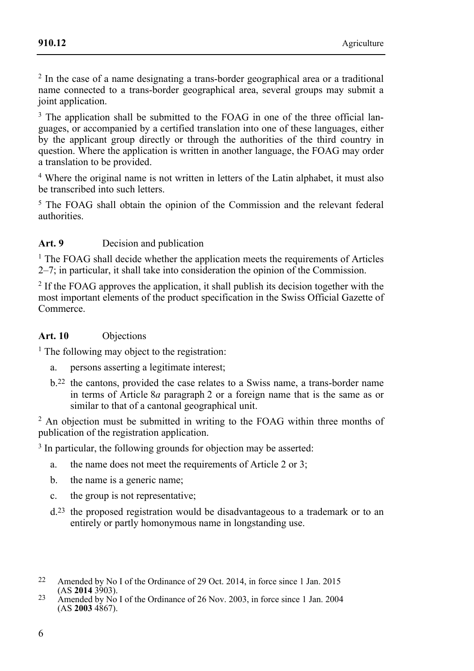2 In the case of a name designating a trans-border geographical area or a traditional name connected to a trans-border geographical area, several groups may submit a joint application.

<sup>3</sup> The application shall be submitted to the FOAG in one of the three official languages, or accompanied by a certified translation into one of these languages, either by the applicant group directly or through the authorities of the third country in question. Where the application is written in another language, the FOAG may order a translation to be provided.

4 Where the original name is not written in letters of the Latin alphabet, it must also be transcribed into such letters.

<sup>5</sup> The FOAG shall obtain the opinion of the Commission and the relevant federal authorities.

### Art. 9 **Decision and publication**

 $<sup>1</sup>$  The FOAG shall decide whether the application meets the requirements of Articles</sup> 2–7; in particular, it shall take into consideration the opinion of the Commission.

 $2$  If the FOAG approves the application, it shall publish its decision together with the most important elements of the product specification in the Swiss Official Gazette of Commerce.

#### **Art. 10** Objections

 $<sup>1</sup>$  The following may object to the registration:</sup>

- a. persons asserting a legitimate interest;
- b.22 the cantons, provided the case relates to a Swiss name, a trans-border name in terms of Article 8*a* paragraph 2 or a foreign name that is the same as or similar to that of a cantonal geographical unit.

2 An objection must be submitted in writing to the FOAG within three months of publication of the registration application.

<sup>3</sup> In particular, the following grounds for objection may be asserted:

- a. the name does not meet the requirements of Article 2 or 3;
- b. the name is a generic name;
- c. the group is not representative;
- d.23 the proposed registration would be disadvantageous to a trademark or to an entirely or partly homonymous name in longstanding use.
- <sup>22</sup> Amended by No I of the Ordinance of 29 Oct. 2014, in force since 1 Jan. 2015<br>(AS **2014** 3903).
- (AS **2014** 3903). 23 Amended by No I of the Ordinance of 26 Nov. 2003, in force since 1 Jan. 2004 (AS **2003** 4867).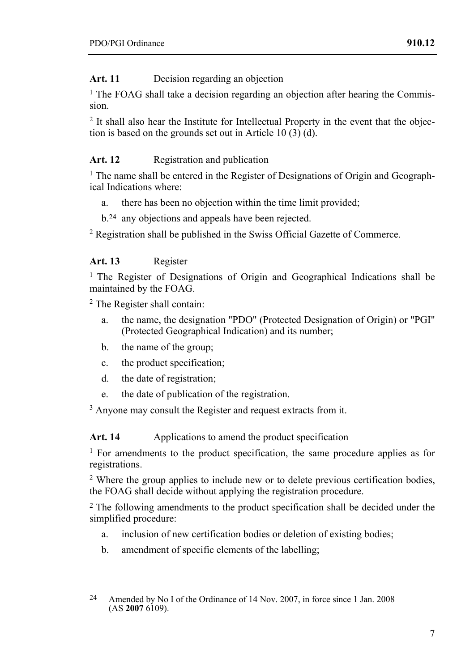### Art. 11 Decision regarding an objection

<sup>1</sup> The FOAG shall take a decision regarding an objection after hearing the Commission.

<sup>2</sup> It shall also hear the Institute for Intellectual Property in the event that the objection is based on the grounds set out in Article 10  $(3)$  (d).

#### Art. 12 **Registration and publication**

<sup>1</sup> The name shall be entered in the Register of Designations of Origin and Geographical Indications where:

- a. there has been no objection within the time limit provided;
- b.24 any objections and appeals have been rejected.

2 Registration shall be published in the Swiss Official Gazette of Commerce.

#### **Art. 13** Register

<sup>1</sup> The Register of Designations of Origin and Geographical Indications shall be maintained by the FOAG.

2 The Register shall contain:

- a. the name, the designation "PDO" (Protected Designation of Origin) or "PGI" (Protected Geographical Indication) and its number;
- b. the name of the group;
- c. the product specification;
- d. the date of registration;
- e. the date of publication of the registration.

<sup>3</sup> Anyone may consult the Register and request extracts from it.

Art. 14 • **Applications to amend the product specification** 

<sup>1</sup> For amendments to the product specification, the same procedure applies as for registrations.

2 Where the group applies to include new or to delete previous certification bodies, the FOAG shall decide without applying the registration procedure.

2 The following amendments to the product specification shall be decided under the simplified procedure:

- a. inclusion of new certification bodies or deletion of existing bodies;
- b. amendment of specific elements of the labelling;

 $24$ Amended by No I of the Ordinance of 14 Nov. 2007, in force since 1 Jan. 2008 (AS **2007** 6109).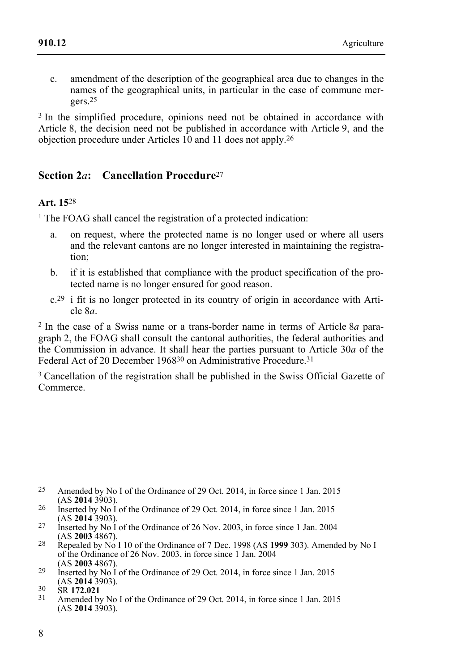c. amendment of the description of the geographical area due to changes in the names of the geographical units, in particular in the case of commune mergers.25

<sup>3</sup> In the simplified procedure, opinions need not be obtained in accordance with Article 8, the decision need not be published in accordance with Article 9, and the objection procedure under Articles 10 and 11 does not apply.26

# **Section 2***a***: Cancellation Procedure**<sup>27</sup>

### **Art. 15**28

<sup>1</sup> The FOAG shall cancel the registration of a protected indication:

- a. on request, where the protected name is no longer used or where all users and the relevant cantons are no longer interested in maintaining the registration;
- b. if it is established that compliance with the product specification of the protected name is no longer ensured for good reason.
- c.29 i fit is no longer protected in its country of origin in accordance with Article 8*a*.

2 In the case of a Swiss name or a trans-border name in terms of Article 8*a* paragraph 2, the FOAG shall consult the cantonal authorities, the federal authorities and the Commission in advance. It shall hear the parties pursuant to Article 30*a* of the Federal Act of 20 December 1968<sup>30</sup> on Administrative Procedure.<sup>31</sup>

<sup>3</sup> Cancellation of the registration shall be published in the Swiss Official Gazette of Commerce.

- $25$ Amended by No I of the Ordinance of 29 Oct. 2014, in force since 1 Jan. 2015 (AS 2014 3903).
- <sup>26</sup> Inserted by No I of the Ordinance of 29 Oct. 2014, in force since 1 Jan. 2015 (AS **2014** 3903).
- 27 Inserted by No I of the Ordinance of 26 Nov. 2003, in force since 1 Jan. 2004 (AS **2003** 4867).
- <sup>28</sup> Repealed by No I 10 of the Ordinance of 7 Dec. 1998 (AS **1999** 303). Amended by No I of the Ordinance of 26 Nov. 2003, in force since 1 Jan. 2004 (AS 2003 4867).
- <sup>29</sup> Inserted by No I of the Ordinance of 29 Oct. 2014, in force since 1 Jan. 2015<br>(AS **2014** 3903).

(ASSETT 2.021<br>
<sup>31</sup> Amended by No I of the Ordinance of 29 Oct. 2014, in force since 1 Jan. 2015  $(AS 2014 3903).$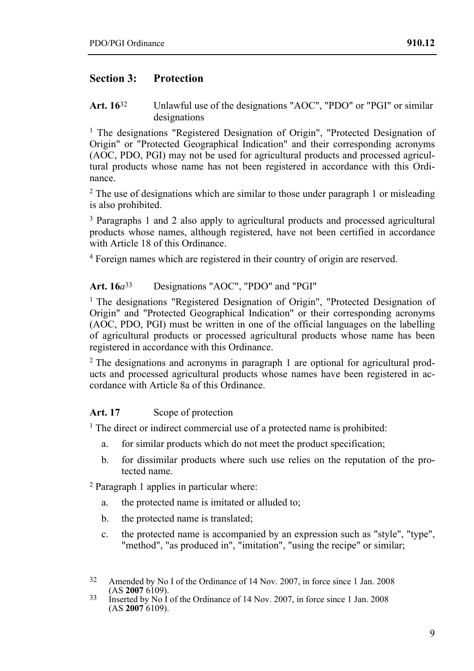### **Section 3: Protection**

**Art. 16**32 Unlawful use of the designations "AOC", "PDO" or "PGI" or similar designations

<sup>1</sup> The designations "Registered Designation of Origin", "Protected Designation of Origin" or "Protected Geographical Indication" and their corresponding acronyms (AOC, PDO, PGI) may not be used for agricultural products and processed agricultural products whose name has not been registered in accordance with this Ordinance.

<sup>2</sup> The use of designations which are similar to those under paragraph 1 or misleading is also prohibited.

3 Paragraphs 1 and 2 also apply to agricultural products and processed agricultural products whose names, although registered, have not been certified in accordance with Article 18 of this Ordinance.

4 Foreign names which are registered in their country of origin are reserved.

#### **Art. 16***a*33 Designations "AOC", "PDO" and "PGI"

<sup>1</sup> The designations "Registered Designation of Origin", "Protected Designation of Origin" and "Protected Geographical Indication" or their corresponding acronyms (AOC, PDO, PGI) must be written in one of the official languages on the labelling of agricultural products or processed agricultural products whose name has been registered in accordance with this Ordinance.

2 The designations and acronyms in paragraph 1 are optional for agricultural products and processed agricultural products whose names have been registered in accordance with Article 8a of this Ordinance.

#### Art. 17 Scope of protection

<sup>1</sup> The direct or indirect commercial use of a protected name is prohibited:

- a. for similar products which do not meet the product specification;
- b. for dissimilar products where such use relies on the reputation of the protected name.

2 Paragraph 1 applies in particular where:

- a. the protected name is imitated or alluded to;
- b. the protected name is translated;
- c. the protected name is accompanied by an expression such as "style", "type", "method", "as produced in", "imitation", "using the recipe" or similar;

<sup>&</sup>lt;sup>32</sup> Amended by No I of the Ordinance of 14 Nov. 2007, in force since 1 Jan. 2008 (AS **2007** 6109).

<sup>&</sup>lt;sup>33</sup> Inserted by No I of the Ordinance of 14 Nov. 2007, in force since 1 Jan. 2008 (AS **2007** 6109).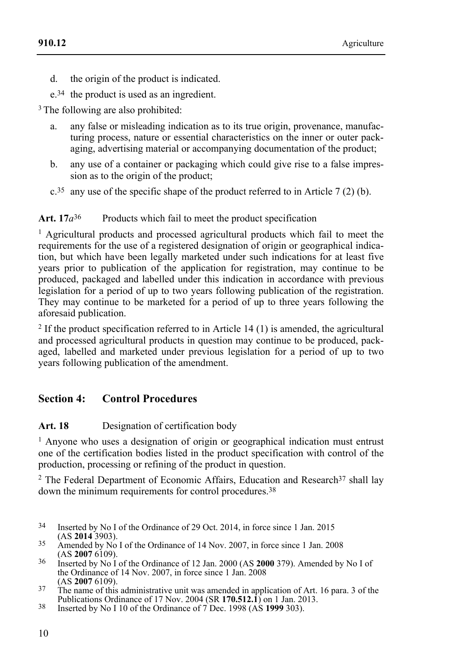d. the origin of the product is indicated.

e.34 the product is used as an ingredient.

<sup>3</sup> The following are also prohibited:

- a. any false or misleading indication as to its true origin, provenance, manufacturing process, nature or essential characteristics on the inner or outer packaging, advertising material or accompanying documentation of the product;
- b. any use of a container or packaging which could give rise to a false impression as to the origin of the product;
- $c^{35}$  any use of the specific shape of the product referred to in Article 7 (2) (b).

### Art. 17*a*<sup>36</sup> Products which fail to meet the product specification

<sup>1</sup> Agricultural products and processed agricultural products which fail to meet the requirements for the use of a registered designation of origin or geographical indication, but which have been legally marketed under such indications for at least five years prior to publication of the application for registration, may continue to be produced, packaged and labelled under this indication in accordance with previous legislation for a period of up to two years following publication of the registration. They may continue to be marketed for a period of up to three years following the aforesaid publication.

 $2$  If the product specification referred to in Article 14 (1) is amended, the agricultural and processed agricultural products in question may continue to be produced, packaged, labelled and marketed under previous legislation for a period of up to two years following publication of the amendment.

# **Section 4: Control Procedures**

### Art. 18 **Designation of certification body**

<sup>1</sup> Anyone who uses a designation of origin or geographical indication must entrust one of the certification bodies listed in the product specification with control of the production, processing or refining of the product in question.

 $2$  The Federal Department of Economic Affairs, Education and Research $37$  shall lay down the minimum requirements for control procedures.38

- $34$ Inserted by No I of the Ordinance of 29 Oct. 2014, in force since 1 Jan. 2015 (AS 2014 3903).
- <sup>35</sup> Amended by No I of the Ordinance of 14 Nov. 2007, in force since 1 Jan. 2008<br>(AS **2007** 6109).
- (AS **2007** 6109). 36 Inserted by No I of the Ordinance of 12 Jan. 2000 (AS **2000** 379). Amended by No I of the Ordinance of 14 Nov. 2007, in force since 1 Jan. 2008
- (AS **2007** 6109).<br><sup>37</sup> The name of this administrative unit was amended in application of Art. 16 para. 3 of the<br>Publications Ordinance of 17 Nov. 2004 (SR **170.512.1**) on 1 Jan. 2013.
- Publications Ordinance of 17 Nov. 2004 (SR **170.512.1**) on 1 Jan. 2013. 38 Inserted by No I 10 of the Ordinance of 7 Dec. 1998 (AS **1999** 303).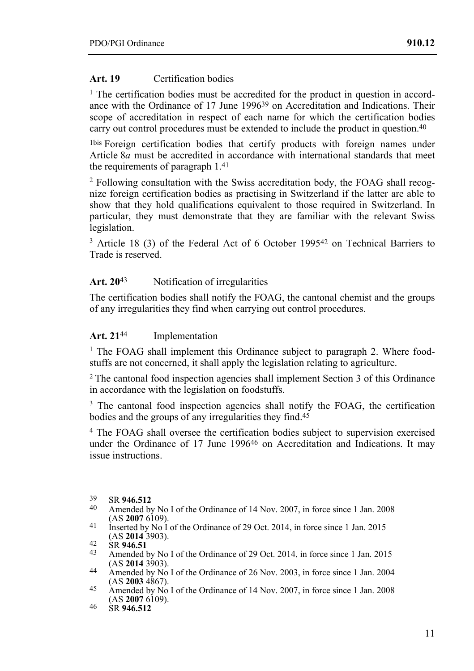#### **Art. 19** Certification bodies

<sup>1</sup> The certification bodies must be accredited for the product in question in accordance with the Ordinance of 17 June 1996<sup>39</sup> on Accreditation and Indications. Their scope of accreditation in respect of each name for which the certification bodies carry out control procedures must be extended to include the product in question.40

1bis Foreign certification bodies that certify products with foreign names under Article 8*a* must be accredited in accordance with international standards that meet the requirements of paragraph 1.41

2 Following consultation with the Swiss accreditation body, the FOAG shall recognize foreign certification bodies as practising in Switzerland if the latter are able to show that they hold qualifications equivalent to those required in Switzerland. In particular, they must demonstrate that they are familiar with the relevant Swiss legislation.

<sup>3</sup> Article 18 (3) of the Federal Act of 6 October 1995<sup>42</sup> on Technical Barriers to Trade is reserved.

#### Art. 20<sup>43</sup> Notification of irregularities

The certification bodies shall notify the FOAG, the cantonal chemist and the groups of any irregularities they find when carrying out control procedures.

#### **Art. 21**44 Implementation

<sup>1</sup> The FOAG shall implement this Ordinance subject to paragraph 2. Where foodstuffs are not concerned, it shall apply the legislation relating to agriculture.

2 The cantonal food inspection agencies shall implement Section 3 of this Ordinance in accordance with the legislation on foodstuffs.

<sup>3</sup> The cantonal food inspection agencies shall notify the FOAG, the certification bodies and the groups of any irregularities they find.<sup>45</sup>

4 The FOAG shall oversee the certification bodies subject to supervision exercised under the Ordinance of 17 June 1996<sup>46</sup> on Accreditation and Indications. It may issue instructions.

- 39 SR **946.512** 40 Amended by No I of the Ordinance of 14 Nov. 2007, in force since 1 Jan. 2008
- 11 Inserted by No I of the Ordinance of 29 Oct. 2014, in force since 1 Jan. 2015<br>(AS **2014** 3903).

- 44 Amended by No I of the Ordinance of 26 Nov. 2003, in force since 1 Jan. 2004 (AS **2003** 4867).
- (AS **2003** 4867). 45 Amended by No I of the Ordinance of 14 Nov. 2007, in force since 1 Jan. 2008 (AS **2007** 6109). 46 SR **946.512**

<sup>42</sup> SR **946.51**<br>43 Amended by No I of the Ordinance of 29 Oct. 2014, in force since 1 Jan. 2015<br>(AS **2014** 3903).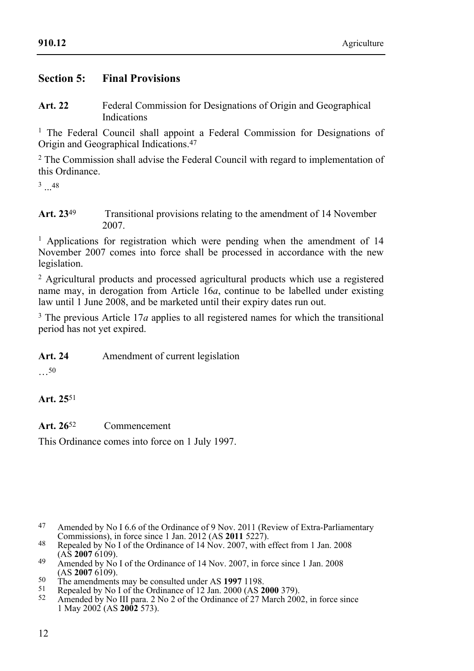### **Section 5: Final Provisions**

**Art. 22** Federal Commission for Designations of Origin and Geographical Indications

<sup>1</sup> The Federal Council shall appoint a Federal Commission for Designations of Origin and Geographical Indications.47

2 The Commission shall advise the Federal Council with regard to implementation of this Ordinance.

 $3 - 48$ 

**Art. 23**49 Transitional provisions relating to the amendment of 14 November 2007.

<sup>1</sup> Applications for registration which were pending when the amendment of 14 November 2007 comes into force shall be processed in accordance with the new legislation.

 $2$  Agricultural products and processed agricultural products which use a registered name may, in derogation from Article 16*a*, continue to be labelled under existing law until 1 June 2008, and be marketed until their expiry dates run out.

<sup>3</sup> The previous Article 17*a* applies to all registered names for which the transitional period has not yet expired.

Art. 24 Amendment of current legislation

…50

**Art. 25**51

**Art. 26**52 Commencement

This Ordinance comes into force on 1 July 1997.

- <sup>48</sup> Repealed by No I of the Ordinance of 14 Nov. 2007, with effect from 1 Jan. 2008<br>(AS **2007** 6109).
- 49 Amended by No I of the Ordinance of 14 Nov. 2007, in force since 1 Jan. 2008<br>(AS **2007** 6109).
- 
- <sup>50</sup><br>The amendments may be consulted under AS 1997 1198.<br><sup>51</sup> Repealed by No I of the Ordinance of 12 Jan. 2000 (AS **2000** 379).<br><sup>52</sup> Amended by No III para. 2 No 2 of the Ordinance of 27 March 2002, in force since

1 May 2002 (AS **2002** 573).

<sup>&</sup>lt;sup>47</sup> Amended by No I 6.6 of the Ordinance of 9 Nov. 2011 (Review of Extra-Parliamentary Commissions), in force since 1 Jan. 2012 (AS **2011** 5227).